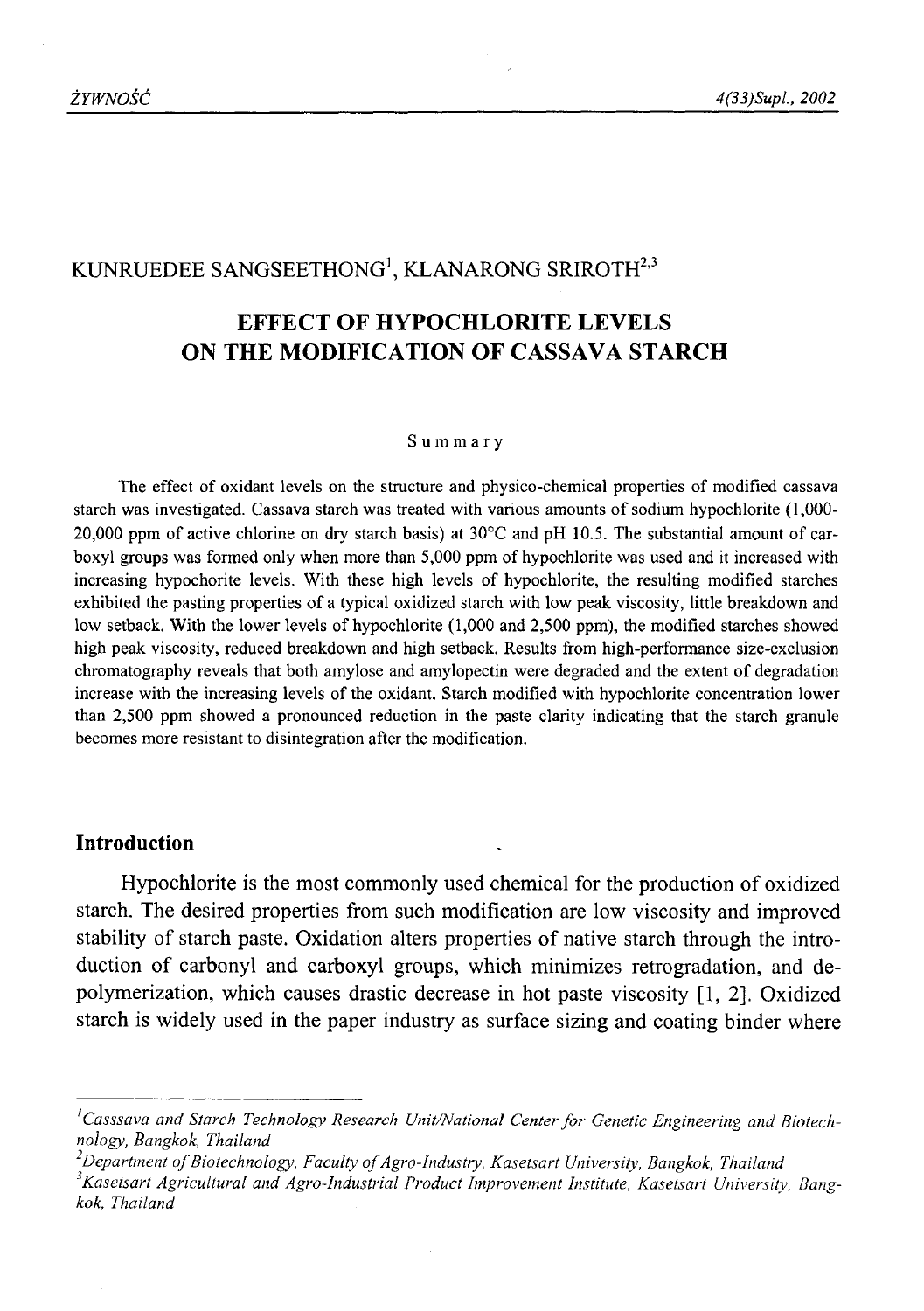# KUNRUEDEE SANGSEETHONG<sup>1</sup>, KLANARONG SRIROTH<sup>2,3</sup>

# **EFFECT OF HYPOCHLORITE LEVELS ON THE MODIFICATION OF CASSAVA STARCH**

#### **Summary**

The effect of oxidant levels on the structure and physico-chemical properties of modified cassava starch was investigated. Cassava starch was treated with various amounts of sodium hypochlorite (1,000- 20,000 ppm of active chlorine on dry starch basis) at 30°C and pH 10.5. The substantial amount of carboxyl groups was formed only when more than 5,000 ppm of hypochlorite was used and it increased with increasing hypochorite levels. With these high levels of hypochlorite, the resulting modified starches exhibited the pasting properties of a typical oxidized starch with low peak viscosity, little breakdown and low setback. With the lower levels of hypochlorite (1,000 and 2,500 ppm), the modified starches showed high peak viscosity, reduced breakdown and high setback. Results from high-performance size-exclusion chromatography reveals that both amylose and amylopectin were degraded and the extent of degradation increase with the increasing levels of the oxidant. Starch modified with hypochlorite concentration lower than 2,500 ppm showed a pronounced reduction in the paste clarity indicating that the starch granule becomes more resistant to disintegration after the modification.

#### **Introduction**

Hypochlorite is the most commonly used chemical for the production of oxidized starch. The desired properties from such modification are low viscosity and improved stability of starch paste. Oxidation alters properties of native starch through the introduction of carbonyl and carboxyl groups, which minimizes retrogradation, and depolymerization, which causes drastic decrease in hot paste viscosity [1, 2], Oxidized starch is widely used in the paper industry as surface sizing and coating binder where

<sup>&</sup>lt;sup>1</sup> Casssava and Starch Technology Research Unit/National Center for Genetic Engineering and Biotech*nology, Bangkok, Thailand*

<sup>&</sup>lt;sup>2</sup>Department of Biotechnology, Faculty of Agro-Industry, Kasetsart University, Bangkok, Thailand *s Kasetsart Agricultural and Agro-Industrial Product Improvement Institute, Kasetsart University, Bangkok, Thailand*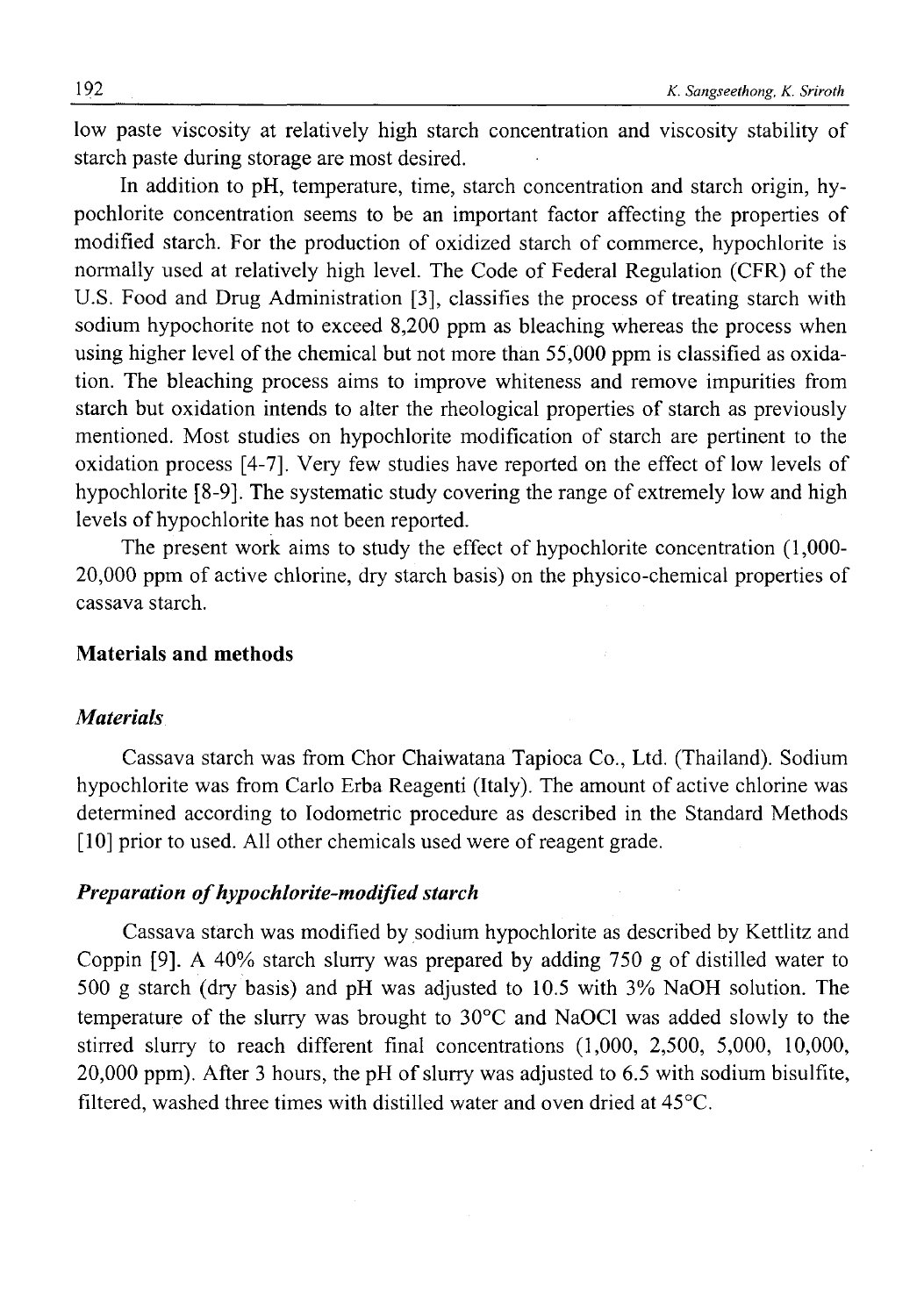low paste viscosity at relatively high starch concentration and viscosity stability of starch paste during storage are most desired.

In addition to pH, temperature, time, starch concentration and starch origin, hypochlorite concentration seems to be an important factor affecting the properties of modified starch. For the production of oxidized starch of commerce, hypochlorite is normally used at relatively high level. The Code of Federal Regulation (CFR) of the U.S. Food and Drug Administration [3], classifies the process of treating starch with sodium hypochorite not to exceed 8,200 ppm as bleaching whereas the process when using higher level of the chemical but not more than 55 ,000 ppm is classified as oxidation. The bleaching process aims to improve whiteness and remove impurities from starch but oxidation intends to alter the rheological properties of starch as previously mentioned. Most studies on hypochlorite modification of starch are pertinent to the oxidation process [4-7]. Very few studies have reported on the effect of low levels of hypochlorite [8-9]. The systematic study covering the range of extremely low and high levels of hypochlorite has not been reported.

The present work aims to study the effect of hypochlorite concentration (1,000- 20.000 ppm of active chlorine, dry starch basis) on the physico-chemical properties of cassava starch.

# **Materials and methods**

## *Materials*

Cassava starch was from Chor Chaiwatana Tapioca Co., Ltd. (Thailand). Sodium hypochlorite was from Carlo Erba Reagenti (Italy). The amount of active chlorine was determined according to Iodometric procedure as described in the Standard Methods [10] prior to used. All other chemicals used were of reagent grade.

## *Preparation of hypochlorite-modified starch*

Cassava starch was modified by sodium hypochlorite as described by Kettlitz and Coppin [9]. A  $40\%$  starch slurry was prepared by adding 750 g of distilled water to 500 g starch (dry basis) and pH was adjusted to 10.5 with 3% NaOH solution. The temperature of the slurry was brought to 30°C and NaOCl was added slowly to the stirred slurry to reach different final concentrations (1,000, 2,500, 5,000, 10,000, 20.000 ppm). After 3 hours, the pH of slurry was adjusted to 6.5 with sodium bisulfite, filtered, washed three times with distilled water and oven dried at  $45^{\circ}$ C.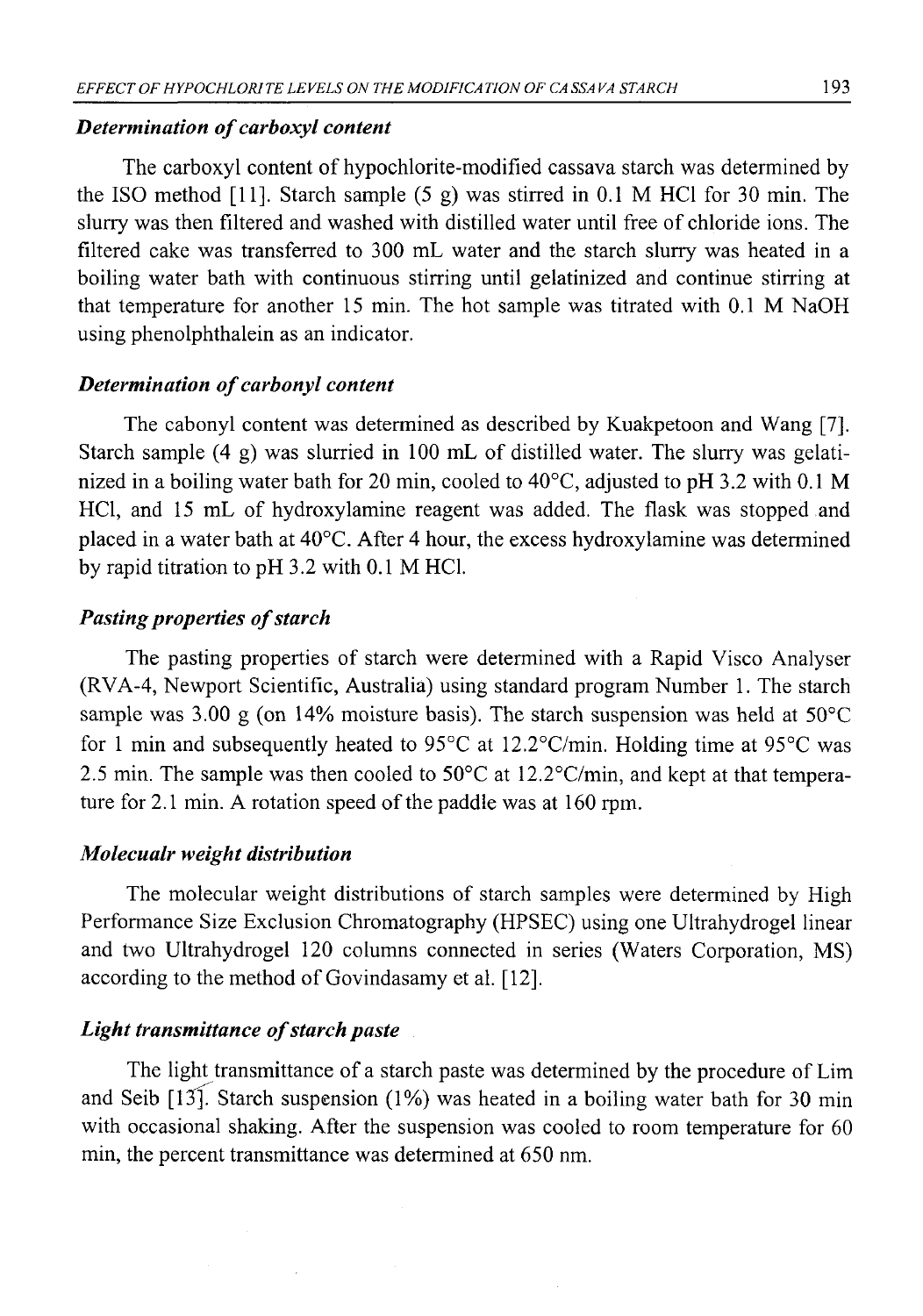## *Determination of carboxyl content*

The carboxyl content of hypochlorite-modified cassava starch was determined by the ISO method [11]. Starch sample  $(5 \text{ g})$  was stirred in 0.1 M HCl for 30 min. The slurry was then filtered and washed with distilled water until free of chloride ions. The filtered cake was transferred to 300 mL water and the starch slurry was heated in a boiling water bath with continuous stirring until gelatinized and continue stirring at that temperature for another 15 min. The hot sample was titrated with 0.1 M NaOH using phenolphthalein as an indicator.

## *Determination of carbonyl content*

The cabonyl content was determined as described by Kuakpetoon and Wang [7]. Starch sample (4 g) was slurried in 100 mL of distilled water. The slurry was gelatinized in a boiling water bath for 20 min, cooled to 40°C, adjusted to pH 3.2 with 0.1 M HC1, and 15 mL of hydroxylamine reagent was added. The flask was stopped and placed in a water bath at 40°C. After 4 hour, the excess hydroxylamine was determined by rapid titration to pH 3.2 with 0.1 M HC1.

## *Pasting properties of starch*

The pasting properties of starch were determined with a Rapid Visco Analyser (RVA-4, Newport Scientific, Australia) using standard program Number 1. The starch sample was 3.00 g (on 14% moisture basis). The starch suspension was held at  $50^{\circ}$ C for 1 min and subsequently heated to 95°C at 12.2°C/min. Holding time at 95°C was 2.5 min. The sample was then cooled to 50°C at 12.2°C/min, and kept at that temperature for 2.1 min. A rotation speed of the paddle was at 160 rpm.

## *Molecualr weight distribution*

The molecular weight distributions of starch samples were determined by High Performance Size Exclusion Chromatography (HPSEC) using one Ultrahydrogel linear and two Ultrahydrogel 120 columns connected in series (Waters Corporation, MS) according to the method of Govindasamy et al. [12].

# *Light transmittance of starch paste*

The light transmittance of a starch paste was determined by the procedure of Lim and Seib  $[13]$ . Starch suspension (1%) was heated in a boiling water bath for 30 min with occasional shaking. After the suspension was cooled to room temperature for 60 min, the percent transmittance was determined at 650 nm.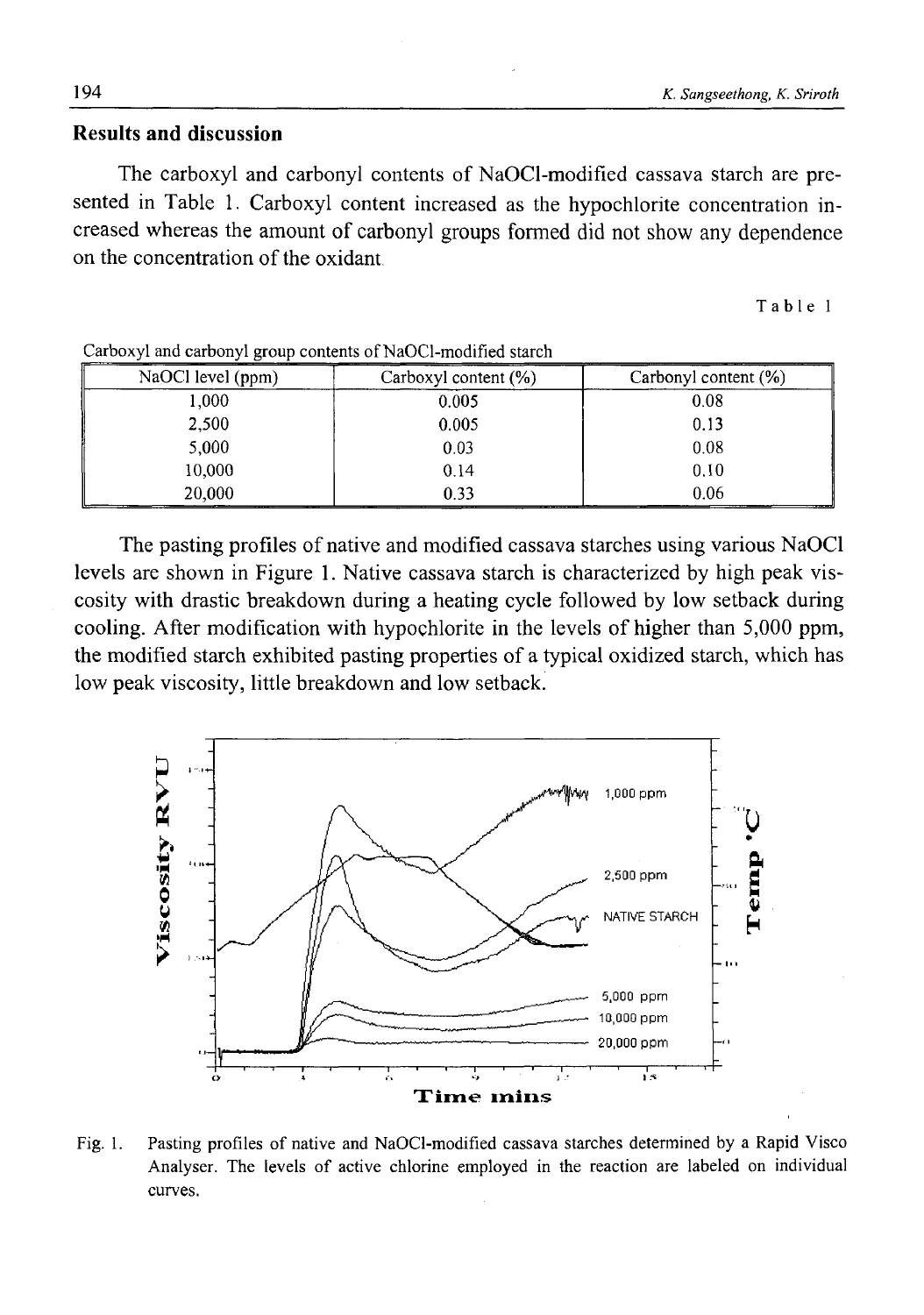# **Results and discussion**

The carboxyl and carbonyl contents of NaOCl-modified cassava starch are presented in Table 1. Carboxyl content increased as the hypochlorite concentration increased whereas the amount of carbonyl groups formed did not show any dependence on the concentration of the oxidant

Table 1

| NaOCl level (ppm) | Carboxyl content (%) | Carbonyl content $(\%)$ |
|-------------------|----------------------|-------------------------|
| 1,000             | 0.005                | 0.08                    |
| 2,500             | 0.005                | 0.13                    |
| 5,000             | 0.03                 | 0.08                    |
| 10,000            | 0.14                 | 0.10                    |
| 20,000            | 0.33                 | 0.06                    |

Carboxyl and carbonyl group contents of NaOCl-modified starch

The pasting profiles of native and modified cassava starches using various NaOCl levels are shown in Figure 1. Native cassava starch is characterized by high peak viscosity with drastic breakdown during a heating cycle followed by low setback during cooling. After modification with hypochlorite in the levels of higher than 5,000 ppm, the modified starch exhibited pasting properties of a typical oxidized starch, which has low peak viscosity, little breakdown and low setback.



Fig. 1. Pasting profiles of native and NaOCl-modified cassava starches determined by a Rapid Visco Analyser. The levels of active chlorine employed in the reaction are labeled on individual curves.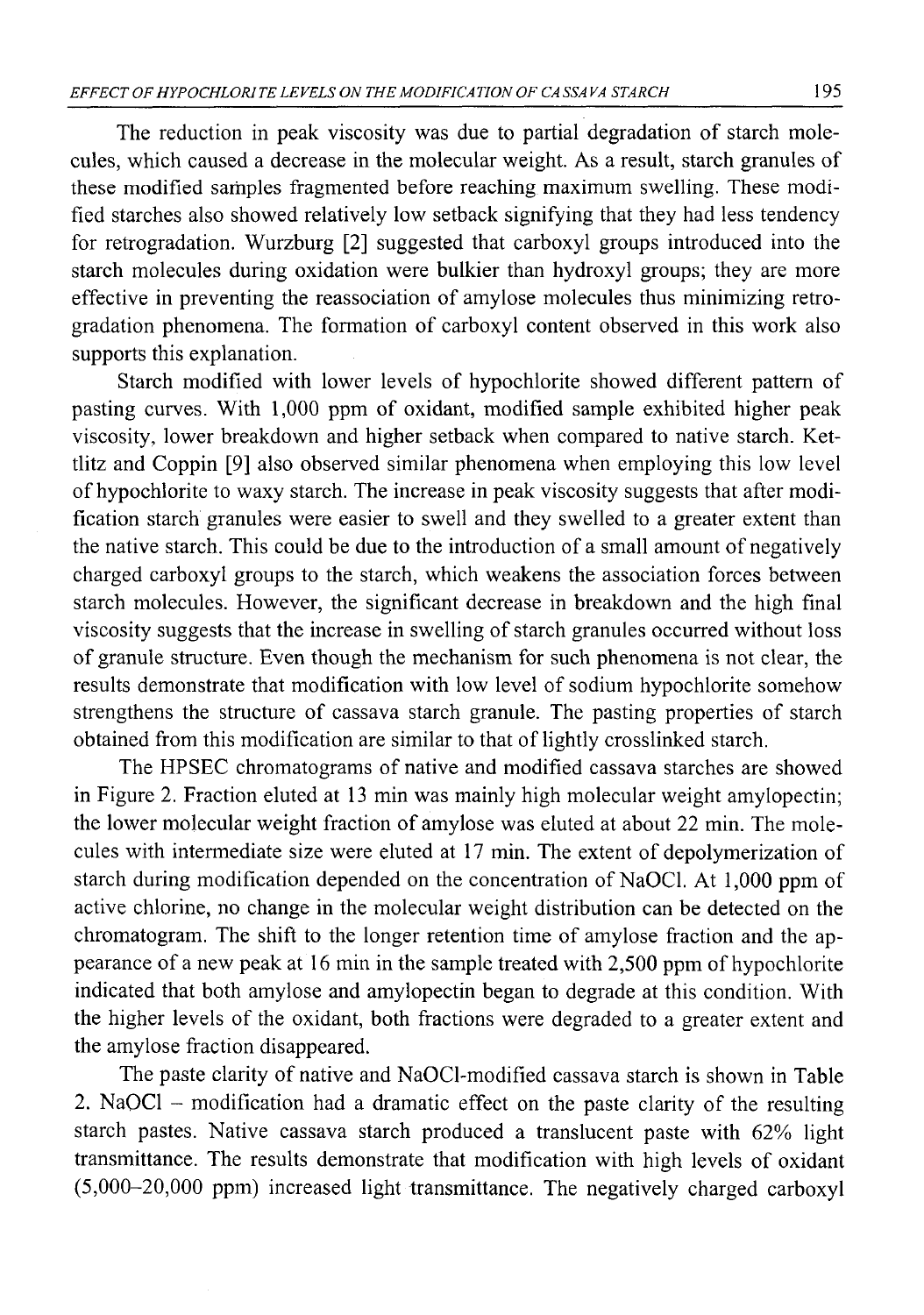The reduction in peak viscosity was due to partial degradation of starch molecules, which caused a decrease in the molecular weight. As a result, starch granules of these modified samples fragmented before reaching maximum swelling. These modified starches also showed relatively low setback signifying that they had less tendency for retrogradation. Wurzburg [2] suggested that carboxyl groups introduced into the starch molecules during oxidation were bulkier than hydroxyl groups; they are more effective in preventing the reassociation of amylose molecules thus minimizing retrogradation phenomena. The formation of carboxyl content observed in this work also supports this explanation.

Starch modified with lower levels of hypochlorite showed different pattern of pasting curves. With 1,000 ppm of oxidant, modified sample exhibited higher peak viscosity, lower breakdown and higher setback when compared to native starch. Kettlitz and Coppin [9] also observed similar phenomena when employing this low level of hypochlorite to waxy starch. The increase in peak viscosity suggests that after modification starch granules were easier to swell and they swelled to a greater extent than the native starch. This could be due to the introduction of a small amount of negatively charged carboxyl groups to the starch, which weakens the association forces between starch molecules. However, the significant decrease in breakdown and the high final viscosity suggests that the increase in swelling of starch granules occurred without loss of granule structure. Even though the mechanism for such phenomena is not clear, the results demonstrate that modification with low level of sodium hypochlorite somehow strengthens the structure of cassava starch granule. The pasting properties of starch obtained from this modification are similar to that of lightly crosslinked starch.

The HPSEC chromatograms of native and modified cassava starches are showed in Figure 2. Fraction eluted at 13 min was mainly high molecular weight amylopectin; the lower molecular weight fraction of amylose was eluted at about 22 min. The molecules with intermediate size were eluted at 17 min. The extent of depolymerization of starch during modification depended on the concentration of NaOCl. At 1,000 ppm of active chlorine, no change in the molecular weight distribution can be detected on the chromatogram. The shift to the longer retention time of amylose fraction and the appearance of a new peak at 16 min in the sample treated with 2,500 ppm of hypochlorite indicated that both amylose and amylopectin began to degrade at this condition. With the higher levels of the oxidant, both fractions were degraded to a greater extent and the amylose fraction disappeared.

The paste clarity of native and NaOCl-modified cassava starch is shown in Table 2. NaOCl – modification had a dramatic effect on the paste clarity of the resulting starch pastes. Native cassava starch produced a translucent paste with 62% light transmittance. The results demonstrate that modification with high levels of oxidant (5,000-20,000 ppm) increased light transmittance. The negatively charged carboxyl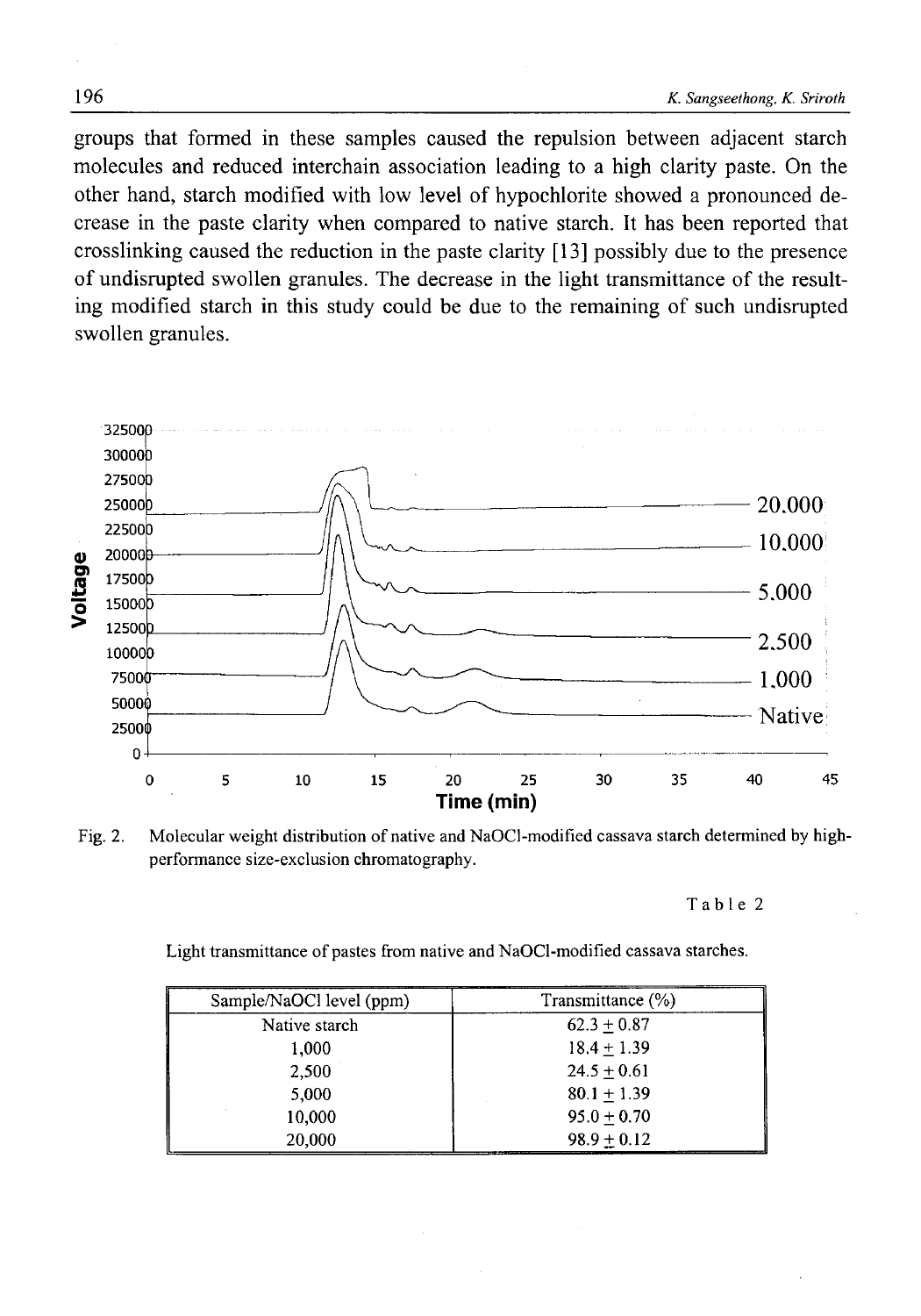groups that formed in these samples caused the repulsion between adjacent starch molecules and reduced interchain association leading to a high clarity paste. On the other hand, starch modified with low level of hypochlorite showed a pronounced decrease in the paste clarity when compared to native starch. It has been reported that crosslinking caused the reduction in the paste clarity [13] possibly due to the presence of undisrupted swollen granules. The decrease in the light transmittance of the resulting modified starch in this study could be due to the remaining of such undisrupted swollen granules.



Fig. 2. Molecular weight distribution of native and NaOCl-modified cassava starch determined by highperformance size-exclusion chromatography.

Table 2

Light transmittance of pastes from native and NaOCl-modified cassava starches.

| Sample/NaOCl level (ppm) | Transmittance (%) |
|--------------------------|-------------------|
| Native starch            | $62.3 + 0.87$     |
| 1,000                    | $18.4 + 1.39$     |
| 2.500                    | $24.5 + 0.61$     |
| 5,000                    | $80.1 + 1.39$     |
| 10,000                   | $95.0 + 0.70$     |
| 20,000                   | $98.9 + 0.12$     |